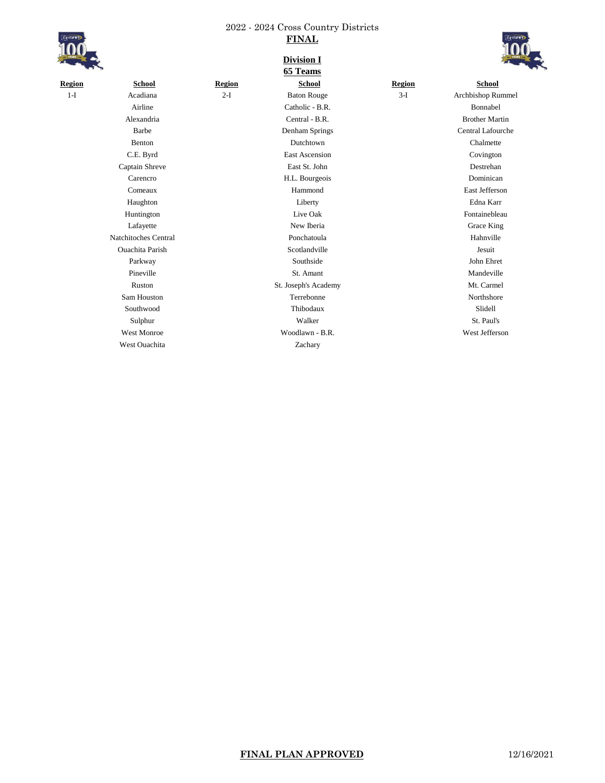

| <b>ISAR</b>  |  |
|--------------|--|
|              |  |
| <b>YEARS</b> |  |
|              |  |
|              |  |

| YEARS  |                        |               | <b>Division I</b><br>65 Teams |               | VEAR                  |
|--------|------------------------|---------------|-------------------------------|---------------|-----------------------|
| Region | <b>School</b>          | <b>Region</b> | <b>School</b>                 | <b>Region</b> | <b>School</b>         |
| $1-I$  | Acadiana               | $2-I$         | <b>Baton Rouge</b>            | $3-I$         | Archbishop Rummel     |
|        | Airline                |               | Catholic - B.R.               |               | Bonnabel              |
|        | Alexandria             |               | Central - B.R.                |               | <b>Brother Martin</b> |
|        | Barbe                  |               | Denham Springs                |               | Central Lafourche     |
|        | Benton                 |               | Dutchtown                     |               | Chalmette             |
|        | C.E. Byrd              |               | <b>East Ascension</b>         |               | Covington             |
|        | Captain Shreve         |               | East St. John                 |               | Destrehan             |
|        | Carencro               |               | H.L. Bourgeois                |               | Dominican             |
|        | Comeaux                |               | Hammond                       |               | East Jefferson        |
|        | Haughton               |               | Liberty                       |               | Edna Karr             |
|        | Huntington             |               | Live Oak                      |               | Fontainebleau         |
|        | Lafayette              |               | New Iberia                    |               | Grace King            |
|        | Natchitoches Central   |               | Ponchatoula                   |               | Hahnville             |
|        | <b>Ouachita Parish</b> |               | Scotlandville                 |               | Jesuit                |
|        | Parkway                |               | Southside                     |               | John Ehret            |
|        | Pineville              |               | St. Amant                     |               | Mandeville            |
|        | Ruston                 |               | St. Joseph's Academy          |               | Mt. Carmel            |
|        | Sam Houston            |               | Terrebonne                    |               | Northshore            |
|        | Southwood              |               | Thibodaux                     |               | Slidell               |
|        | Sulphur                |               | Walker                        |               | St. Paul's            |
|        | <b>West Monroe</b>     |               | Woodlawn - B.R.               |               | West Jefferson        |
|        | <b>West Ouachita</b>   |               | Zachary                       |               |                       |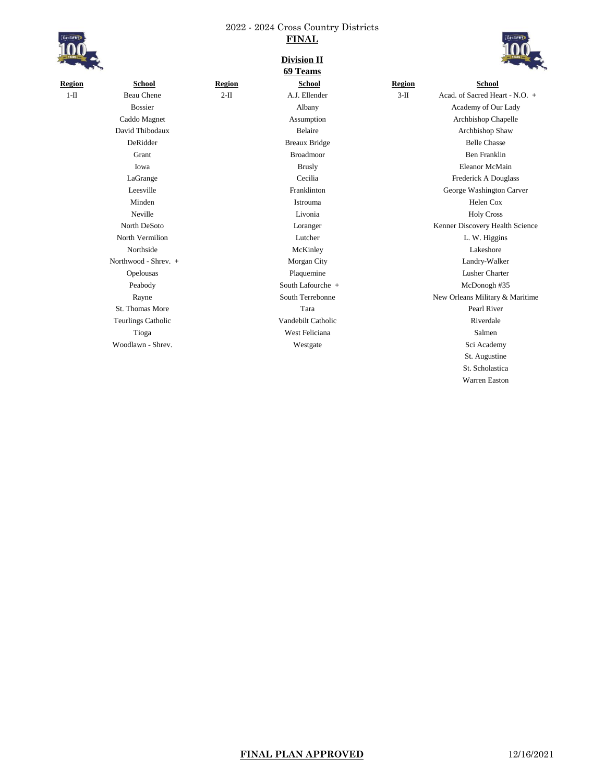

| School                    |  |  |  |  |  |
|---------------------------|--|--|--|--|--|
| <b>Beau Chene</b>         |  |  |  |  |  |
| <b>Bossier</b>            |  |  |  |  |  |
| Caddo Magnet              |  |  |  |  |  |
| David Thibodaux           |  |  |  |  |  |
| DeRidder                  |  |  |  |  |  |
| Grant                     |  |  |  |  |  |
| Iowa                      |  |  |  |  |  |
| LaGrange                  |  |  |  |  |  |
| Leesville                 |  |  |  |  |  |
| Minden                    |  |  |  |  |  |
| Neville                   |  |  |  |  |  |
| North DeSoto              |  |  |  |  |  |
| North Vermilion           |  |  |  |  |  |
| Northside                 |  |  |  |  |  |
| Northwood - Shrev. +      |  |  |  |  |  |
| Opelousas                 |  |  |  |  |  |
| Peabody                   |  |  |  |  |  |
| Rayne                     |  |  |  |  |  |
| St. Thomas More           |  |  |  |  |  |
| <b>Teurlings Catholic</b> |  |  |  |  |  |
|                           |  |  |  |  |  |

# **Division II**



|               |                           |        | риченош п<br>69 Teams |               | $\mathbf{r}$                    |
|---------------|---------------------------|--------|-----------------------|---------------|---------------------------------|
| <b>Region</b> | <b>School</b>             | Region | <b>School</b>         | <b>Region</b> | School                          |
| $1-II$        | <b>Beau Chene</b>         | $2-II$ | A.J. Ellender         | $3-II$        | Acad. of Sacred Heart - N.O. +  |
|               | <b>Bossier</b>            |        | Albany                |               | Academy of Our Lady             |
|               | Caddo Magnet              |        | Assumption            |               | Archbishop Chapelle             |
|               | David Thibodaux           |        | Belaire               |               | Archbishop Shaw                 |
|               | DeRidder                  |        | <b>Breaux Bridge</b>  |               | <b>Belle Chasse</b>             |
|               | Grant                     |        | <b>Broadmoor</b>      |               | <b>Ben Franklin</b>             |
|               | Iowa                      |        | <b>Brusly</b>         |               | <b>Eleanor McMain</b>           |
|               | LaGrange                  |        | Cecilia               |               | Frederick A Douglass            |
|               | Leesville                 |        | Franklinton           |               | George Washington Carver        |
|               | Minden                    |        | Istrouma              |               | Helen Cox                       |
|               | Neville                   |        | Livonia               |               | <b>Holy Cross</b>               |
|               | North DeSoto              |        | Loranger              |               | Kenner Discovery Health Science |
|               | North Vermilion           |        | Lutcher               |               | L. W. Higgins                   |
|               | Northside                 |        | McKinley              |               | Lakeshore                       |
|               | Northwood - Shrev. +      |        | Morgan City           |               | Landry-Walker                   |
|               | Opelousas                 |        | Plaquemine            |               | <b>Lusher Charter</b>           |
|               | Peabody                   |        | South Lafourche +     |               | McDonogh #35                    |
|               | Rayne                     |        | South Terrebonne      |               | New Orleans Military & Maritime |
|               | St. Thomas More           |        | Tara                  |               | Pearl River                     |
|               | <b>Teurlings Catholic</b> |        | Vandebilt Catholic    |               | Riverdale                       |
|               | Tioga                     |        | West Feliciana        |               | Salmen                          |
|               | Woodlawn - Shrev.         |        | Westgate              |               | Sci Academy                     |
|               |                           |        |                       |               | St. Augustine                   |
|               |                           |        |                       |               | St. Scholastica                 |
|               |                           |        |                       |               | <b>Warren Easton</b>            |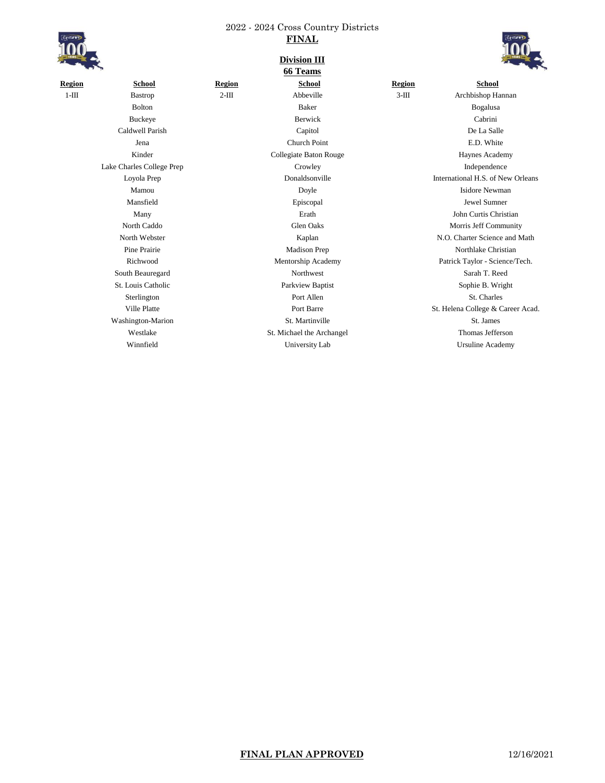

**Region School Region School Region School** 1-III Bastrop 2-III Abbeville 3-III Archbishop Hannan Lake Charles College Prep Crowley Independence Washington-Marion St. Martinville St. Martinville St. James

### **Division III 66 Teams**



Bolton Baker Bogalusa Buckeye Berwick Cabrini Caldwell Parish Capitol De La Salle Jena Church Point E.D. White Kinder **Collegiate Baton Rouge Collegiate Baton Rouge** Haynes Academy Loyola Prep Donaldsonville International H.S. of New Orleans Mamou **Doyle** Doyle **Isidore Newman** Mansfield Episcopal Jewel Sumner Many Erath John Curtis Christian North Caddo Glen Oaks Morris Jeff Community North Webster **Kaplan** N.O. Charter Science and Math Pine Prairie **Madison Prep Northlake Christian** Northlake Christian Richwood Mentorship Academy Patrick Taylor - Science/Tech. South Beauregard Northwest Sarah T. Reed St. Louis Catholic **Parkview Baptist Sophie B. Wright** Sophie B. Wright Sterlington St. Charles **St. Charles** Port Allen St. Charles St. Charles Ville Platte Port Barre St. Helena College & Career Acad. Westlake St. Michael the Archangel Thomas Jefferson Winnfield **University Lab** University Lab University Lab Ursuline Academy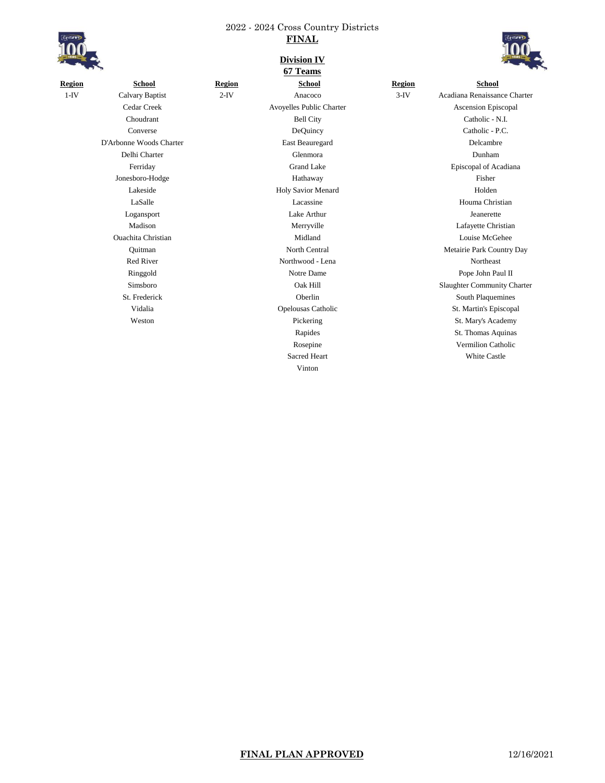

**Division IV**

|               | <b>Service</b>            |               | 67 Teams                  |               |                                    |
|---------------|---------------------------|---------------|---------------------------|---------------|------------------------------------|
| <b>Region</b> | <b>School</b>             | <b>Region</b> | <b>School</b>             | <b>Region</b> | <b>School</b>                      |
| $1-IV$        | <b>Calvary Baptist</b>    | $2-IV$        | Anacoco                   | $3-IV$        | Acadiana Renaissance Charter       |
|               | Cedar Creek               |               | Avoyelles Public Charter  |               | Ascension Episcopal                |
|               | Choudrant                 |               | <b>Bell City</b>          |               | Catholic - N.I.                    |
|               | Converse                  |               | DeQuincy                  |               | Catholic - P.C.                    |
|               | D'Arbonne Woods Charter   |               | East Beauregard           |               | Delcambre                          |
|               | Delhi Charter             |               | Glenmora                  |               | Dunham                             |
|               | Ferriday                  |               | <b>Grand Lake</b>         |               | Episcopal of Acadiana              |
|               | Jonesboro-Hodge           |               | Hathaway                  |               | Fisher                             |
|               | Lakeside                  |               | Holy Savior Menard        |               | Holden                             |
|               | LaSalle                   |               | Lacassine                 |               | Houma Christian                    |
|               | Logansport                |               | Lake Arthur               |               | Jeanerette                         |
|               | Madison                   |               | Merryville                |               | Lafayette Christian                |
|               | <b>Ouachita Christian</b> |               | Midland                   |               | Louise McGehee                     |
|               | Ouitman                   |               | North Central             |               | Metairie Park Country Day          |
|               | <b>Red River</b>          |               | Northwood - Lena          |               | Northeast                          |
|               | Ringgold                  |               | Notre Dame                |               | Pope John Paul II                  |
|               | Simsboro                  |               | Oak Hill                  |               | <b>Slaughter Community Charter</b> |
|               | St. Frederick             |               | Oberlin                   |               | South Plaquemines                  |
|               | Vidalia                   |               | <b>Opelousas Catholic</b> |               | St. Martin's Episcopal             |
|               | Weston                    |               | Pickering                 |               | St. Mary's Academy                 |
|               |                           |               | Rapides                   |               | St. Thomas Aquinas                 |
|               |                           |               | Rosepine                  |               | <b>Vermilion Catholic</b>          |

Vinton

Sacred Heart White Castle

**FINAL PLAN APPROVED** 12/16/2021